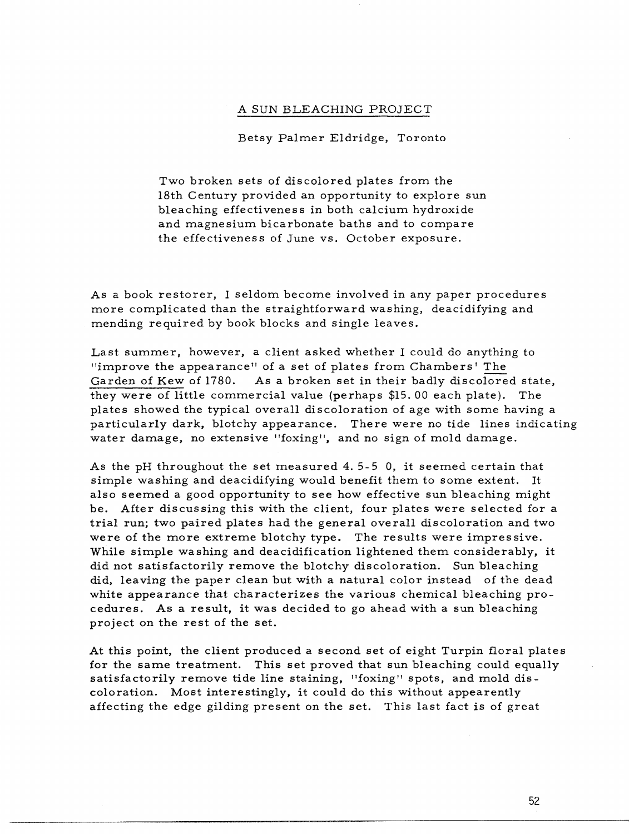## A SUN BLEACHING PROJECT

Betsy Palmer Eldridge, Toronto

Two broken sets of discolored plates from the 18th Century provided an opportunity to explore sun bleaching effectiveness in both calcium hydroxide and magnesium bicarbonate baths and to compare the effectiveness of June vs. October exposure.

As a book restorer, I seldom become involved in any paper procedures more complicated than the straightforward washing, deacidifying and mending required by book blocks and single leaves.

Last summer, however, a client asked whether I could do anything to "improve the appearance" of a set of plates from Chambers' The Garden of Kew of 1780. As a broken set in their badly discolored state, they were of little commercial value (perhaps \$15. 00 each plate). The plates showed the typical overall discoloration of age with some having a particularly dark, blotchy appearance. There were no tide lines indicating water damage, no extensive "foxing", and no sign of mold damage.

As the pH throughout the set measured 4. 5-5 0, it seemed certain that simple washing and deacidifying would benefit them to some extent. It also seemed a good opportunity to see how effective sun bleaching might be. After discussing this with the client, four plates were selected for a trial run; two paired plates had the general overall discoloration and two were of the more extreme blotchy type. The results were impressive. While simple washing and deacidification lightened them considerably, it did not satisfactorily remove the blotchy discoloration. Sun bleaching did, leaving the paper clean but with a natural color instead of the dead white appearance that characterizes the various chemical bleaching procedures. As a result, it was decided to go ahead with a sun bleaching project on the rest of the set.

At this point, the client produced a second set of eight Turpin floral plates for the same treatment. This set proved that sun bleaching could equally satisfactorily remove tide line staining, "foxing" spots, and mold discoloration. Most interestingly, it could do this without appearently affecting the edge gilding present on the set. This last fact is of great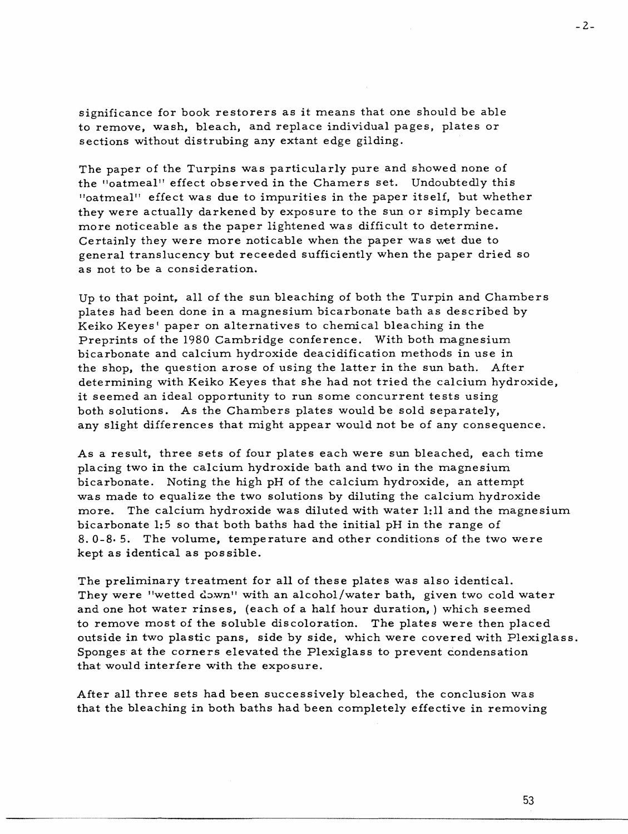significance for book restorers as it means that one should be able to remove, wash, bleach, and replace individual pages, plates or sections without distrubing any extant edge gilding.

The paper of the Turpins was particularly pure and showed none of the ••oatmeal" effect observed in the Chamers set. Undoubtedly this <sup>11</sup>oatmeal" effect was due *to* impurities in the paper itself, but whether they were actually darkened by exposure *to* the sun or simply became more noticeable as the paper lightened was difficult to determine. Certainly they were more noticable when the paper was wet due to general translucency but receeded sufficiently when the paper dried so as not to be a consideration.

Up to that point, all of the sun bleaching of both the Turpin and Chambers plates had been done in a magnesium bicarbonate bath as described by Keiko Keyes' paper on alternatives to chemical bleaching in the Preprints of the 1980 Cambridge conference. With both magnesium bicarbonate and calcium hydroxide deacidification methods in use in the shop, the question arose of using the latter in the sun bath. After determining with Keiko Keyes that she had not tried the calcium hydroxide, it seemed an ideal opportunity *to* run some concurrent tests using both solutions. As the Chambers plates would be sold separately, any slight differences that might appear would not be of any consequence.

As a result, three sets of four plates each were sun bleached, each time placing two in the calcium hydroxide bath and two in the magnesium bicarbonate. Noting the high pH of the calcium hydroxide, an attempt was made to equalize the two solutions by diluting the calcium hydroxide more. The calcium hydroxide was diluted with water 1:11 and the magnesium bicarbonate 1:5 so that both baths had the initial pH in the range of 8. 0-8• 5. The volume, temperature and other conditions of the two were kept as identical as possible.

The preliminary treatment for all of these plates was also identical. They were "wetted down" with an alcohol/water bath, given two cold water and one hot water rinses, (each of a half hour duration,) which seemed to remove most of the soluble discoloration. The plates were then placed outside in two plastic pans, side by side, which were covered with Plexiglass. Sponges at the corners elevated the Plexiglass to prevent condensation that would interfere with the exposure.

After all three sets had been successively bleached, the conclusion was that the bleaching in both baths had been completely effective in removing

53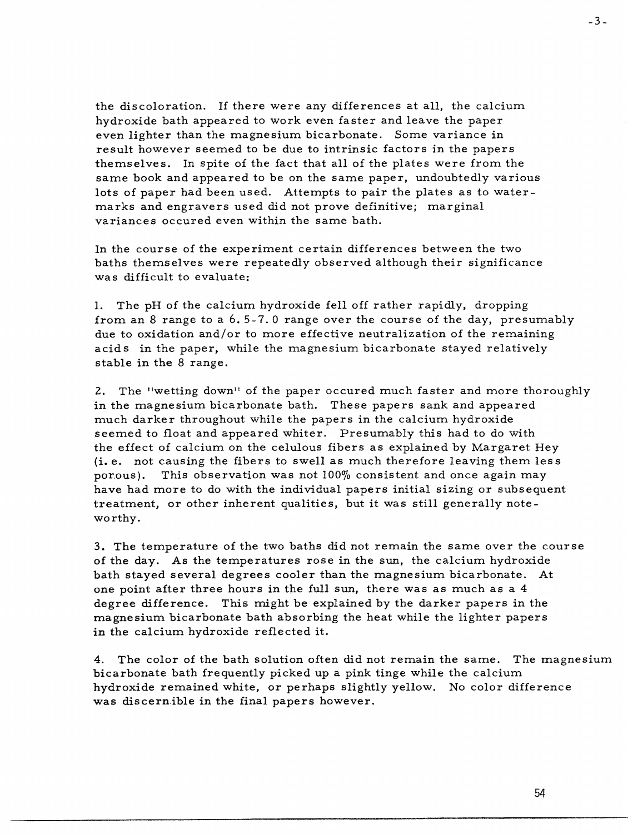the discoloration. If there were any differences at all, the calcium hydroxide bath appeared to work even faster and leave the paper even lighter than the magnesium bicarbonate. Some variance in result however seemed to be due to intrinsic factors in the papers themselves. In spite of the fact that all of the plates were from the same book and appeared to be on the same paper, undoubtedly various lots of paper had been used. Attempts to pair the plates as to watermarks and engravers used did not prove definitive; marginal variances occured even within the same bath.

In the course of the experiment certain differences between the two baths themselves were repeatedly observed although their significance was difficult to evaluate:

1. The pH of the calcium hydroxide fell off rather rapidly, dropping from an 8 range to a 6. 5- 7. 0 range over the course of the day, presumably due to oxidation and/or to more effective neutralization of the remaining acids in the paper, while the magnesium bicarbonate stayed relatively stable in the 8 range.

2. The "wetting down" of the paper occured much faster and more thoroughly in the magnesium bicarbonate bath. These papers sank and appeared much darker throughout while the papers in the calcium hydroxide seemed to float and appeared whiter. Presumably this had to do with the effect of calcium on the celulous fibers as explained by Margaret Hey (i.e. not causing the fibers to swell as much therefore leaving them less por.ous). This observation was not 100% consistent and once again may have had more to do with the individual papers initial sizing or subsequent treatment, or other inherent qualities, but it was still generally noteworthy.

3. The temperature of the two baths did not remain the same over the course of the day. As the temperatures rose in the sun, the calcium hydroxide bath stayed several degrees cooler than the magnesium bicarbonate. At one point after three hours in the full sun, there was as much as a 4 degree difference. This might be explained by the darker papers in the magnesium. bicarbonate bath absorbing the heat while the lighter papers **in** the calcium hydroxide reflected it.

4. The color of the bath solution often did not remain the same. The magnesium bicarbonate bath frequently picked up a pink tinge while the calcium hydroxide remained white, or perhaps slightly yellow. No color difference was discernible in the final papers however.